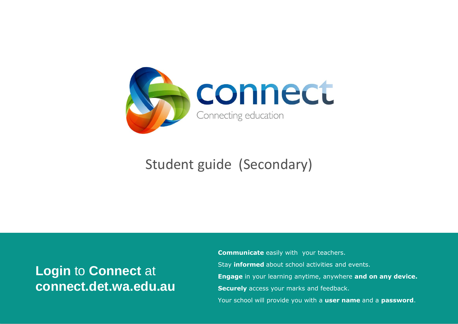

# Student guide (Secondary)

# **Login** to **Connect** at **connect.det.wa.edu.au**

**Communicate** easily with your teachers. Stay **informed** about school activities and events. **Engage** in your learning anytime, anywhere **and on any device. Securely** access your marks and feedback. Your school will provide you with a **user name** and a **password**.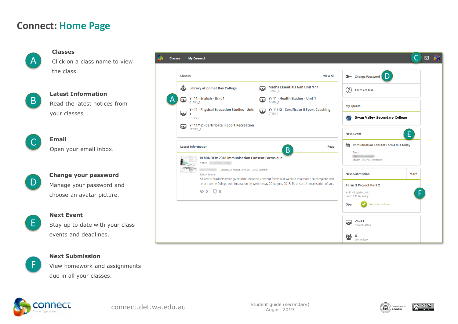### **Connect: Home Page**

A  $\Delta$ 

#### **Classes**

**Email**

Click on a class name to view the class.



**Latest Information**

Read the latest notices from your classes

Open your email inbox.

 $\overline{\phantom{a}}$ C

 $\overline{a}$ D

### **Change your password** Manage your password and

choose an avatar picture.



#### **Next Event**

Stay up to date with your class events and deadlines.



#### **Next Submission**

View homework and assignments due in all your classes.





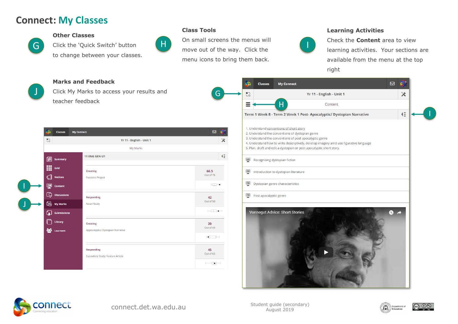## **Connect: My Classes**



J

#### **Other Classes**

Click the 'Quick Switch' button to change between your classes.

#### **Class Tools**



On small screens the menus will H move out of the way. Click the menu icons to bring them back.

G

#### **Learning Activities**



Check the **Content** area to view learning activities. Your sections are available from the menu at the top right

#### **Marks and Feedback**

Click My Marks to access your results and teacher feedback

| 冷<br><b>Classes</b>                                                                                              | <b>My Connect</b>                        | $\boxtimes$                 |
|------------------------------------------------------------------------------------------------------------------|------------------------------------------|-----------------------------|
| $\mathfrak{S}$                                                                                                   | Yr 11 - English - Unit 1                 |                             |
|                                                                                                                  | My Marks                                 |                             |
| 倡<br>Summary                                                                                                     | <b>11 ENG GEN U1</b>                     |                             |
| 噩<br>Grid                                                                                                        | <b>Creating</b>                          | 66.5                        |
| $\mathbb{Q}$<br><b>Notices</b>                                                                                   | <b>Passions Project</b>                  | Out of 75                   |
| ₽<br><b>Content</b>                                                                                              |                                          | $H \rightarrow \bullet$     |
| こうしょう こうしゃ こうしゃく こうしゃく こうしゃく こうしゃく こうしゃく じょうしゃ じょうしゃ じょうしゃ こうしゃ こうしゃ こうしゃ こうしゃ しゅうしゃ しゅうしゃ<br><b>Discussions</b> | <b>Responding</b>                        | 42                          |
| 匦<br><b>My Marks</b>                                                                                             | <b>Novel Study</b>                       | Out of 50                   |
| ₲<br><b>Submissions</b>                                                                                          |                                          | $\Box$                      |
| Library                                                                                                          | <b>Creating</b>                          | 20                          |
| <b>SO</b><br>Learners                                                                                            | Appocalyptic/ Dystopian Narrative        | Out of 45                   |
|                                                                                                                  |                                          | $\rightarrow$ $\rightarrow$ |
|                                                                                                                  | <b>Responding</b>                        | 45                          |
|                                                                                                                  | <b>Expository Study: Feature Article</b> | Out of 65                   |
|                                                                                                                  |                                          | $\overline{\phantom{a}}$    |

| $\frac{1}{2}$ |                        |                                                                                                                                                                                                                                                  | Yr 11 - English - Unit 1 |  |              | $\check{\bm{\mathsf{x}}}$ |  |
|---------------|------------------------|--------------------------------------------------------------------------------------------------------------------------------------------------------------------------------------------------------------------------------------------------|--------------------------|--|--------------|---------------------------|--|
|               |                        | Н                                                                                                                                                                                                                                                | Content                  |  |              |                           |  |
|               |                        | Term 1 Week 8 - Term 2 Week 1 Post- Apocalyptic/ Dystopian Narrative                                                                                                                                                                             |                          |  |              | $\overline{4}$            |  |
|               |                        | 1. Understand conventions of short story<br>2. Understand the conventions of dystopian genre<br>3. Understand the conventions of post apocalyptic genre<br>4. Understand how to write descriptively, develop imagery amd use figurative language |                          |  |              |                           |  |
|               |                        | 5. Plan, draft and edit a dystopian or post apocalyptic short story.                                                                                                                                                                             |                          |  |              |                           |  |
| Ξ             |                        | Recognising dystopian fiction                                                                                                                                                                                                                    |                          |  |              |                           |  |
| Ξ             |                        | Introduction to dystopian literature                                                                                                                                                                                                             |                          |  |              |                           |  |
| ⊕             |                        | Dystopian genre characteristics                                                                                                                                                                                                                  |                          |  |              |                           |  |
| ⊞             | Post apocalyptic genre |                                                                                                                                                                                                                                                  |                          |  |              |                           |  |
|               |                        | <b>Vonnegut Advice: Short Stories</b>                                                                                                                                                                                                            |                          |  | $\mathbf{C}$ |                           |  |





|ര ⊕®